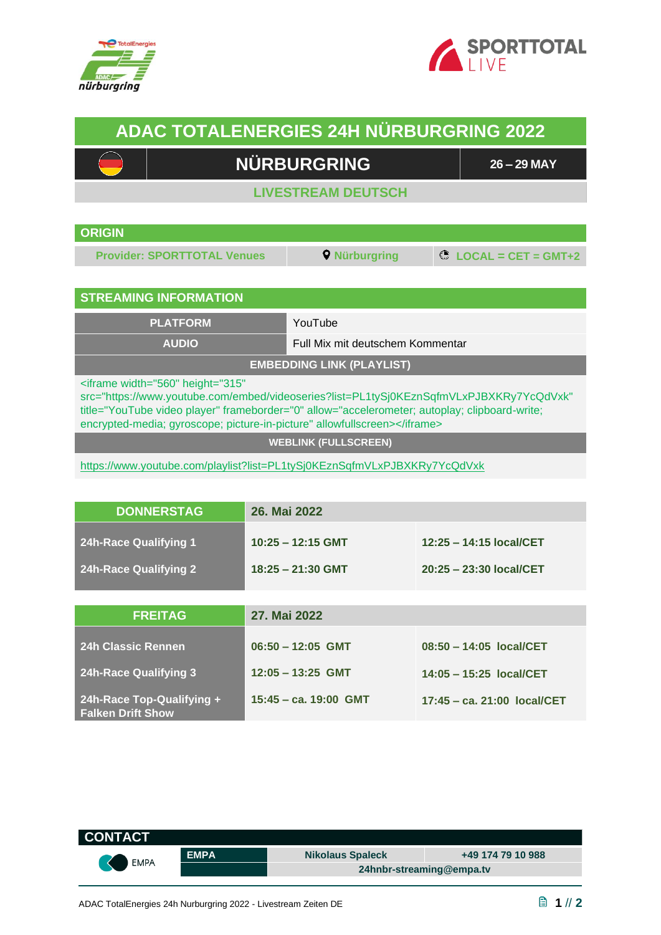



## **ADAC TOTALENERGIES 24H NÜRBURGRING 2022**

## **NÜRBURGRING 26 – <sup>29</sup> MAY**

**LIVESTREAM DEUTSCH**

| <b>ORIGIN</b> |  |
|---------------|--|

**Provider: SPORTTOTAL Venues Q** Nürburgring **C** LOCAL = CET = GMT+2

**17:45 – ca. 21:00 local/CET**

## **STREAMING INFORMATION**

**PLATFORM** YouTube

**AUDIO** Full Mix mit deutschem Kommentar

**EMBEDDING LINK (PLAYLIST)** 

<iframe width="560" height="315"

**24h-Race Top-Qualifying +** 

**Falken Drift Show**

src="https://www.youtube.com/embed/videoseries?list=PL1tySj0KEznSqfmVLxPJBXKRy7YcQdVxk" title="YouTube video player" frameborder="0" allow="accelerometer; autoplay; clipboard-write; encrypted-media; gyroscope; picture-in-picture" allowfullscreen></iframe>

**WEBLINK (FULLSCREEN)**

<https://www.youtube.com/playlist?list=PL1tySj0KEznSqfmVLxPJBXKRy7YcQdVxk>

| <b>DONNERSTAG</b>                                            | 26. Mai 2022                               |                                                    |  |
|--------------------------------------------------------------|--------------------------------------------|----------------------------------------------------|--|
| <b>24h-Race Qualifying 1</b><br><b>24h-Race Qualifying 2</b> | $10:25 - 12:15$ GMT<br>$18:25 - 21:30$ GMT | 12:25 - 14:15 local/CET<br>20:25 - 23:30 local/CET |  |
|                                                              |                                            |                                                    |  |
| <b>FREITAG</b>                                               | 27. Mai 2022                               |                                                    |  |
| <b>24h Classic Rennen</b>                                    | $06:50 - 12:05$ GMT                        | $08:50 - 14:05$ local/CET                          |  |
| <b>24h-Race Qualifying 3</b>                                 | $12:05 - 13:25$ GMT                        | 14:05 - 15:25 local/CET                            |  |

**15:45 – ca. 19:00 GMT**

| <b>CONTACT</b> |             |                          |                   |
|----------------|-------------|--------------------------|-------------------|
| EMPA           | <b>EMPA</b> | <b>Nikolaus Spaleck</b>  | +49 174 79 10 988 |
|                |             | 24hnbr-streaming@empa.tv |                   |
|                |             |                          |                   |